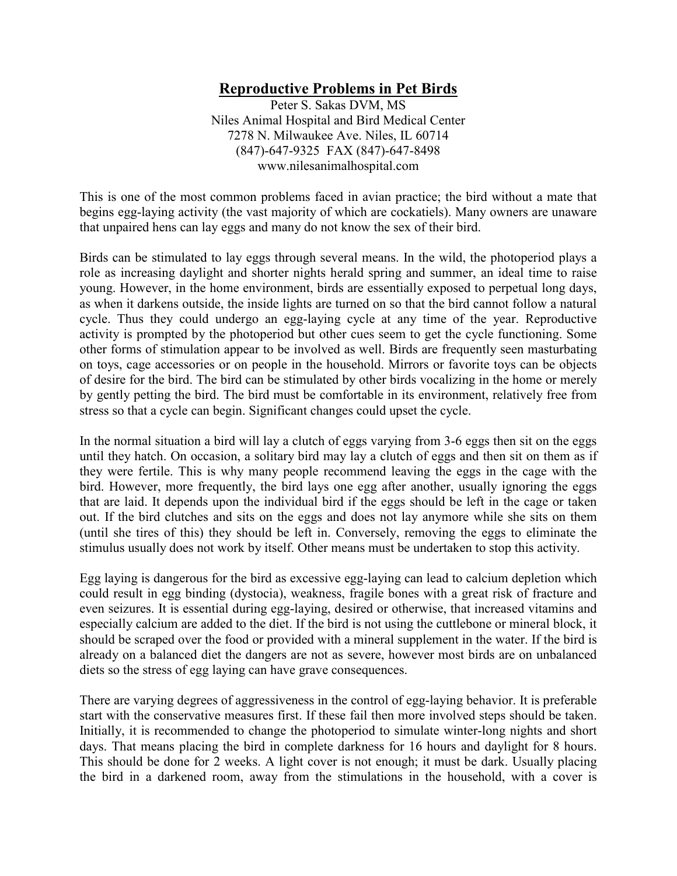# **Reproductive Problems in Pet Birds**

Peter S. Sakas DVM, MS Niles Animal Hospital and Bird Medical Center 7278 N. Milwaukee Ave. Niles, IL 60714 (847)-647-9325 FAX (847)-647-8498 www.nilesanimalhospital.com

This is one of the most common problems faced in avian practice; the bird without a mate that begins egg-laying activity (the vast majority of which are cockatiels). Many owners are unaware that unpaired hens can lay eggs and many do not know the sex of their bird.

Birds can be stimulated to lay eggs through several means. In the wild, the photoperiod plays a role as increasing daylight and shorter nights herald spring and summer, an ideal time to raise young. However, in the home environment, birds are essentially exposed to perpetual long days, as when it darkens outside, the inside lights are turned on so that the bird cannot follow a natural cycle. Thus they could undergo an egg-laying cycle at any time of the year. Reproductive activity is prompted by the photoperiod but other cues seem to get the cycle functioning. Some other forms of stimulation appear to be involved as well. Birds are frequently seen masturbating on toys, cage accessories or on people in the household. Mirrors or favorite toys can be objects of desire for the bird. The bird can be stimulated by other birds vocalizing in the home or merely by gently petting the bird. The bird must be comfortable in its environment, relatively free from stress so that a cycle can begin. Significant changes could upset the cycle.

In the normal situation a bird will lay a clutch of eggs varying from 3-6 eggs then sit on the eggs until they hatch. On occasion, a solitary bird may lay a clutch of eggs and then sit on them as if they were fertile. This is why many people recommend leaving the eggs in the cage with the bird. However, more frequently, the bird lays one egg after another, usually ignoring the eggs that are laid. It depends upon the individual bird if the eggs should be left in the cage or taken out. If the bird clutches and sits on the eggs and does not lay anymore while she sits on them (until she tires of this) they should be left in. Conversely, removing the eggs to eliminate the stimulus usually does not work by itself. Other means must be undertaken to stop this activity.

Egg laying is dangerous for the bird as excessive egg-laying can lead to calcium depletion which could result in egg binding (dystocia), weakness, fragile bones with a great risk of fracture and even seizures. It is essential during egg-laying, desired or otherwise, that increased vitamins and especially calcium are added to the diet. If the bird is not using the cuttlebone or mineral block, it should be scraped over the food or provided with a mineral supplement in the water. If the bird is already on a balanced diet the dangers are not as severe, however most birds are on unbalanced diets so the stress of egg laying can have grave consequences.

There are varying degrees of aggressiveness in the control of egg-laying behavior. It is preferable start with the conservative measures first. If these fail then more involved steps should be taken. Initially, it is recommended to change the photoperiod to simulate winter-long nights and short days. That means placing the bird in complete darkness for 16 hours and daylight for 8 hours. This should be done for 2 weeks. A light cover is not enough; it must be dark. Usually placing the bird in a darkened room, away from the stimulations in the household, with a cover is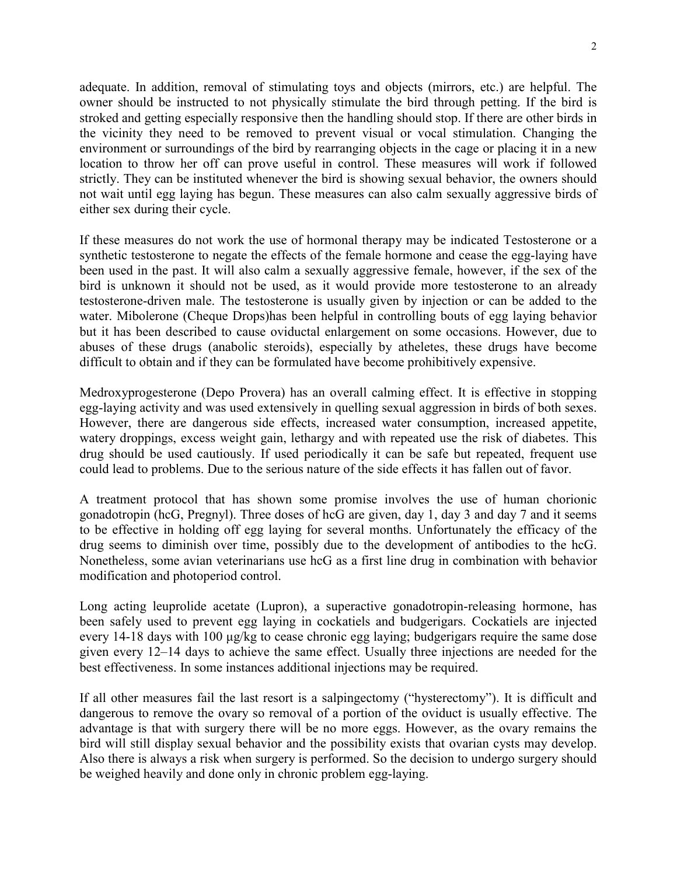adequate. In addition, removal of stimulating toys and objects (mirrors, etc.) are helpful. The owner should be instructed to not physically stimulate the bird through petting. If the bird is stroked and getting especially responsive then the handling should stop. If there are other birds in the vicinity they need to be removed to prevent visual or vocal stimulation. Changing the environment or surroundings of the bird by rearranging objects in the cage or placing it in a new location to throw her off can prove useful in control. These measures will work if followed strictly. They can be instituted whenever the bird is showing sexual behavior, the owners should not wait until egg laying has begun. These measures can also calm sexually aggressive birds of either sex during their cycle.

If these measures do not work the use of hormonal therapy may be indicated Testosterone or a synthetic testosterone to negate the effects of the female hormone and cease the egg-laying have been used in the past. It will also calm a sexually aggressive female, however, if the sex of the bird is unknown it should not be used, as it would provide more testosterone to an already testosterone-driven male. The testosterone is usually given by injection or can be added to the water. Mibolerone (Cheque Drops)has been helpful in controlling bouts of egg laying behavior but it has been described to cause oviductal enlargement on some occasions. However, due to abuses of these drugs (anabolic steroids), especially by atheletes, these drugs have become difficult to obtain and if they can be formulated have become prohibitively expensive.

Medroxyprogesterone (Depo Provera) has an overall calming effect. It is effective in stopping egg-laying activity and was used extensively in quelling sexual aggression in birds of both sexes. However, there are dangerous side effects, increased water consumption, increased appetite, watery droppings, excess weight gain, lethargy and with repeated use the risk of diabetes. This drug should be used cautiously. If used periodically it can be safe but repeated, frequent use could lead to problems. Due to the serious nature of the side effects it has fallen out of favor.

A treatment protocol that has shown some promise involves the use of human chorionic gonadotropin (hcG, Pregnyl). Three doses of hcG are given, day 1, day 3 and day 7 and it seems to be effective in holding off egg laying for several months. Unfortunately the efficacy of the drug seems to diminish over time, possibly due to the development of antibodies to the hcG. Nonetheless, some avian veterinarians use hcG as a first line drug in combination with behavior modification and photoperiod control.

Long acting leuprolide acetate (Lupron), a superactive gonadotropin-releasing hormone, has been safely used to prevent egg laying in cockatiels and budgerigars. Cockatiels are injected every 14-18 days with 100 µg/kg to cease chronic egg laying; budgerigars require the same dose given every 12–14 days to achieve the same effect. Usually three injections are needed for the best effectiveness. In some instances additional injections may be required.

If all other measures fail the last resort is a salpingectomy ("hysterectomy"). It is difficult and dangerous to remove the ovary so removal of a portion of the oviduct is usually effective. The advantage is that with surgery there will be no more eggs. However, as the ovary remains the bird will still display sexual behavior and the possibility exists that ovarian cysts may develop. Also there is always a risk when surgery is performed. So the decision to undergo surgery should be weighed heavily and done only in chronic problem egg-laying.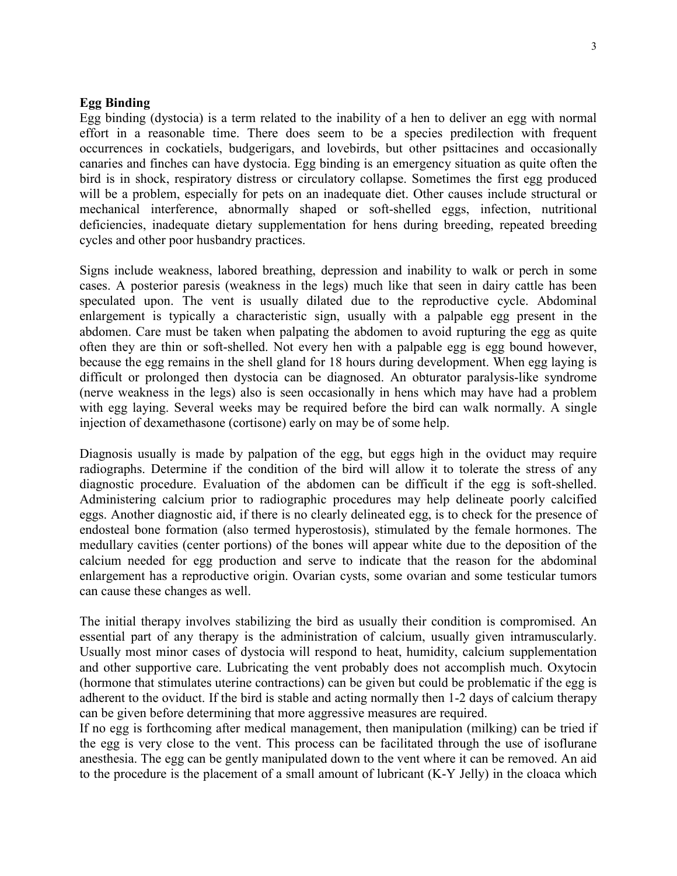### **Egg Binding**

Egg binding (dystocia) is a term related to the inability of a hen to deliver an egg with normal effort in a reasonable time. There does seem to be a species predilection with frequent occurrences in cockatiels, budgerigars, and lovebirds, but other psittacines and occasionally canaries and finches can have dystocia. Egg binding is an emergency situation as quite often the bird is in shock, respiratory distress or circulatory collapse. Sometimes the first egg produced will be a problem, especially for pets on an inadequate diet. Other causes include structural or mechanical interference, abnormally shaped or soft-shelled eggs, infection, nutritional deficiencies, inadequate dietary supplementation for hens during breeding, repeated breeding cycles and other poor husbandry practices.

Signs include weakness, labored breathing, depression and inability to walk or perch in some cases. A posterior paresis (weakness in the legs) much like that seen in dairy cattle has been speculated upon. The vent is usually dilated due to the reproductive cycle. Abdominal enlargement is typically a characteristic sign, usually with a palpable egg present in the abdomen. Care must be taken when palpating the abdomen to avoid rupturing the egg as quite often they are thin or soft-shelled. Not every hen with a palpable egg is egg bound however, because the egg remains in the shell gland for 18 hours during development. When egg laying is difficult or prolonged then dystocia can be diagnosed. An obturator paralysis-like syndrome (nerve weakness in the legs) also is seen occasionally in hens which may have had a problem with egg laying. Several weeks may be required before the bird can walk normally. A single injection of dexamethasone (cortisone) early on may be of some help.

Diagnosis usually is made by palpation of the egg, but eggs high in the oviduct may require radiographs. Determine if the condition of the bird will allow it to tolerate the stress of any diagnostic procedure. Evaluation of the abdomen can be difficult if the egg is soft-shelled. Administering calcium prior to radiographic procedures may help delineate poorly calcified eggs. Another diagnostic aid, if there is no clearly delineated egg, is to check for the presence of endosteal bone formation (also termed hyperostosis), stimulated by the female hormones. The medullary cavities (center portions) of the bones will appear white due to the deposition of the calcium needed for egg production and serve to indicate that the reason for the abdominal enlargement has a reproductive origin. Ovarian cysts, some ovarian and some testicular tumors can cause these changes as well.

The initial therapy involves stabilizing the bird as usually their condition is compromised. An essential part of any therapy is the administration of calcium, usually given intramuscularly. Usually most minor cases of dystocia will respond to heat, humidity, calcium supplementation and other supportive care. Lubricating the vent probably does not accomplish much. Oxytocin (hormone that stimulates uterine contractions) can be given but could be problematic if the egg is adherent to the oviduct. If the bird is stable and acting normally then 1-2 days of calcium therapy can be given before determining that more aggressive measures are required.

If no egg is forthcoming after medical management, then manipulation (milking) can be tried if the egg is very close to the vent. This process can be facilitated through the use of isoflurane anesthesia. The egg can be gently manipulated down to the vent where it can be removed. An aid to the procedure is the placement of a small amount of lubricant (K-Y Jelly) in the cloaca which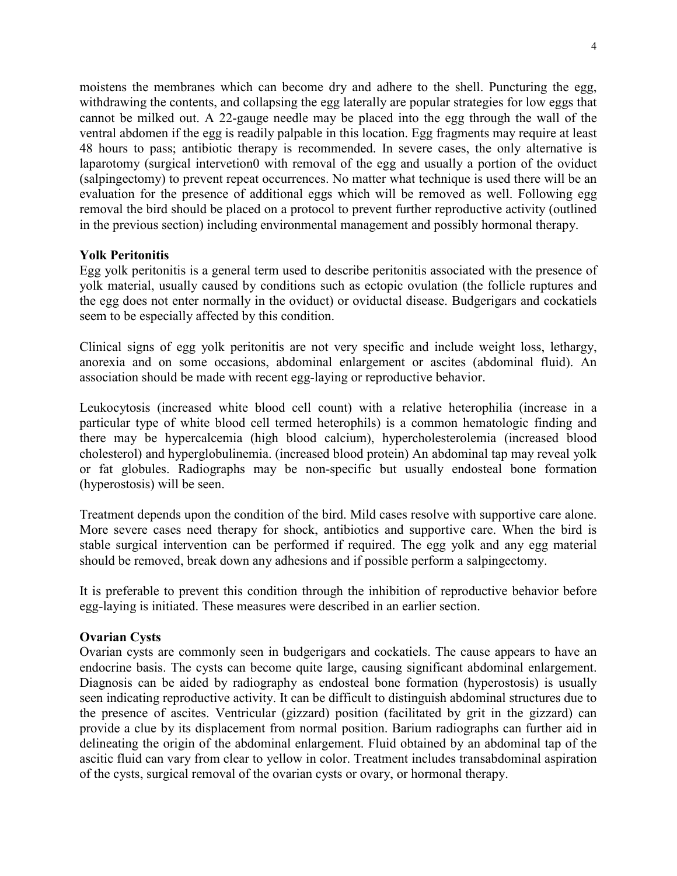moistens the membranes which can become dry and adhere to the shell. Puncturing the egg, withdrawing the contents, and collapsing the egg laterally are popular strategies for low eggs that cannot be milked out. A 22-gauge needle may be placed into the egg through the wall of the ventral abdomen if the egg is readily palpable in this location. Egg fragments may require at least 48 hours to pass; antibiotic therapy is recommended. In severe cases, the only alternative is laparotomy (surgical intervetion0 with removal of the egg and usually a portion of the oviduct (salpingectomy) to prevent repeat occurrences. No matter what technique is used there will be an evaluation for the presence of additional eggs which will be removed as well. Following egg removal the bird should be placed on a protocol to prevent further reproductive activity (outlined in the previous section) including environmental management and possibly hormonal therapy.

## **Yolk Peritonitis**

Egg yolk peritonitis is a general term used to describe peritonitis associated with the presence of yolk material, usually caused by conditions such as ectopic ovulation (the follicle ruptures and the egg does not enter normally in the oviduct) or oviductal disease. Budgerigars and cockatiels seem to be especially affected by this condition.

Clinical signs of egg yolk peritonitis are not very specific and include weight loss, lethargy, anorexia and on some occasions, abdominal enlargement or ascites (abdominal fluid). An association should be made with recent egg-laying or reproductive behavior.

Leukocytosis (increased white blood cell count) with a relative heterophilia (increase in a particular type of white blood cell termed heterophils) is a common hematologic finding and there may be hypercalcemia (high blood calcium), hypercholesterolemia (increased blood cholesterol) and hyperglobulinemia. (increased blood protein) An abdominal tap may reveal yolk or fat globules. Radiographs may be non-specific but usually endosteal bone formation (hyperostosis) will be seen.

Treatment depends upon the condition of the bird. Mild cases resolve with supportive care alone. More severe cases need therapy for shock, antibiotics and supportive care. When the bird is stable surgical intervention can be performed if required. The egg yolk and any egg material should be removed, break down any adhesions and if possible perform a salpingectomy.

It is preferable to prevent this condition through the inhibition of reproductive behavior before egg-laying is initiated. These measures were described in an earlier section.

## **Ovarian Cysts**

Ovarian cysts are commonly seen in budgerigars and cockatiels. The cause appears to have an endocrine basis. The cysts can become quite large, causing significant abdominal enlargement. Diagnosis can be aided by radiography as endosteal bone formation (hyperostosis) is usually seen indicating reproductive activity. It can be difficult to distinguish abdominal structures due to the presence of ascites. Ventricular (gizzard) position (facilitated by grit in the gizzard) can provide a clue by its displacement from normal position. Barium radiographs can further aid in delineating the origin of the abdominal enlargement. Fluid obtained by an abdominal tap of the ascitic fluid can vary from clear to yellow in color. Treatment includes transabdominal aspiration of the cysts, surgical removal of the ovarian cysts or ovary, or hormonal therapy.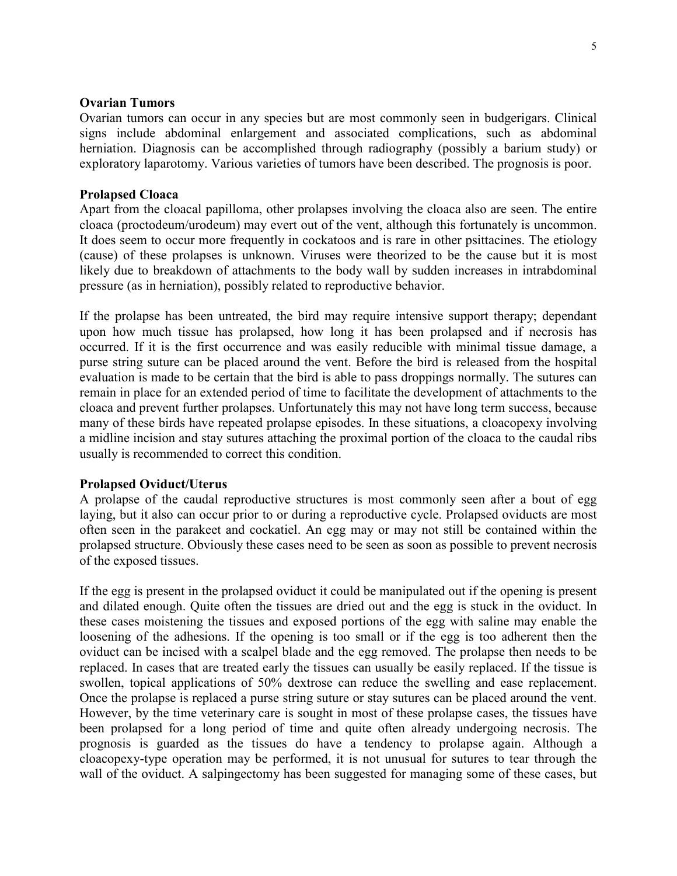### **Ovarian Tumors**

Ovarian tumors can occur in any species but are most commonly seen in budgerigars. Clinical signs include abdominal enlargement and associated complications, such as abdominal herniation. Diagnosis can be accomplished through radiography (possibly a barium study) or exploratory laparotomy. Various varieties of tumors have been described. The prognosis is poor.

### **Prolapsed Cloaca**

Apart from the cloacal papilloma, other prolapses involving the cloaca also are seen. The entire cloaca (proctodeum/urodeum) may evert out of the vent, although this fortunately is uncommon. It does seem to occur more frequently in cockatoos and is rare in other psittacines. The etiology (cause) of these prolapses is unknown. Viruses were theorized to be the cause but it is most likely due to breakdown of attachments to the body wall by sudden increases in intrabdominal pressure (as in herniation), possibly related to reproductive behavior.

If the prolapse has been untreated, the bird may require intensive support therapy; dependant upon how much tissue has prolapsed, how long it has been prolapsed and if necrosis has occurred. If it is the first occurrence and was easily reducible with minimal tissue damage, a purse string suture can be placed around the vent. Before the bird is released from the hospital evaluation is made to be certain that the bird is able to pass droppings normally. The sutures can remain in place for an extended period of time to facilitate the development of attachments to the cloaca and prevent further prolapses. Unfortunately this may not have long term success, because many of these birds have repeated prolapse episodes. In these situations, a cloacopexy involving a midline incision and stay sutures attaching the proximal portion of the cloaca to the caudal ribs usually is recommended to correct this condition.

#### **Prolapsed Oviduct/Uterus**

A prolapse of the caudal reproductive structures is most commonly seen after a bout of egg laying, but it also can occur prior to or during a reproductive cycle. Prolapsed oviducts are most often seen in the parakeet and cockatiel. An egg may or may not still be contained within the prolapsed structure. Obviously these cases need to be seen as soon as possible to prevent necrosis of the exposed tissues.

If the egg is present in the prolapsed oviduct it could be manipulated out if the opening is present and dilated enough. Quite often the tissues are dried out and the egg is stuck in the oviduct. In these cases moistening the tissues and exposed portions of the egg with saline may enable the loosening of the adhesions. If the opening is too small or if the egg is too adherent then the oviduct can be incised with a scalpel blade and the egg removed. The prolapse then needs to be replaced. In cases that are treated early the tissues can usually be easily replaced. If the tissue is swollen, topical applications of 50% dextrose can reduce the swelling and ease replacement. Once the prolapse is replaced a purse string suture or stay sutures can be placed around the vent. However, by the time veterinary care is sought in most of these prolapse cases, the tissues have been prolapsed for a long period of time and quite often already undergoing necrosis. The prognosis is guarded as the tissues do have a tendency to prolapse again. Although a cloacopexy-type operation may be performed, it is not unusual for sutures to tear through the wall of the oviduct. A salpingectomy has been suggested for managing some of these cases, but